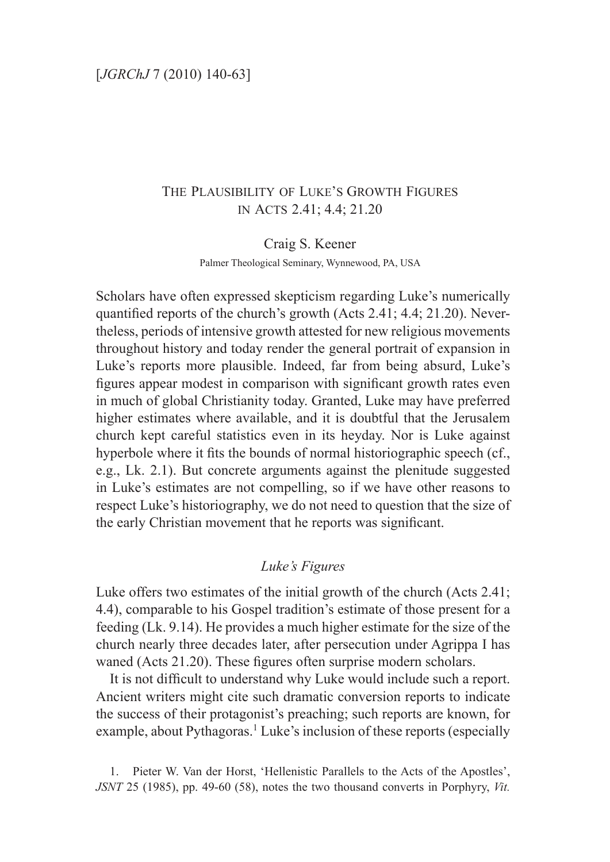# The Plausibility of Luke's Growth Figures in Acts 2.41; 4.4; 21.20

Craig S. Keener

Palmer Theological Seminary, Wynnewood, PA, USA

Scholars have often expressed skepticism regarding Luke's numerically quantified reports of the church's growth (Acts 2.41; 4.4; 21.20). Nevertheless, periods of intensive growth attested for new religious movements throughout history and today render the general portrait of expansion in Luke's reports more plausible. Indeed, far from being absurd, Luke's figures appear modest in comparison with significant growth rates even in much of global Christianity today. Granted, Luke may have preferred higher estimates where available, and it is doubtful that the Jerusalem church kept careful statistics even in its heyday. Nor is Luke against hyperbole where it fits the bounds of normal historiographic speech (cf., e.g., Lk. 2.1). But concrete arguments against the plenitude suggested in Luke's estimates are not compelling, so if we have other reasons to respect Luke's historiography, we do not need to question that the size of the early Christian movement that he reports was significant.

# *Luke's Figures*

Luke offers two estimates of the initial growth of the church (Acts 2.41; 4.4), comparable to his Gospel tradition's estimate of those present for a feeding (Lk. 9.14). He provides a much higher estimate for the size of the church nearly three decades later, after persecution under Agrippa I has waned (Acts 21.20). These figures often surprise modern scholars.

It is not difficult to understand why Luke would include such a report. Ancient writers might cite such dramatic conversion reports to indicate the success of their protagonist's preaching; such reports are known, for example, about Pythagoras.<sup>1</sup> Luke's inclusion of these reports (especially

1. Pieter W. Van der Horst, 'Hellenistic Parallels to the Acts of the Apostles', *JSNT* 25 (1985), pp. 49-60 (58), notes the two thousand converts in Porphyry, *Vit.*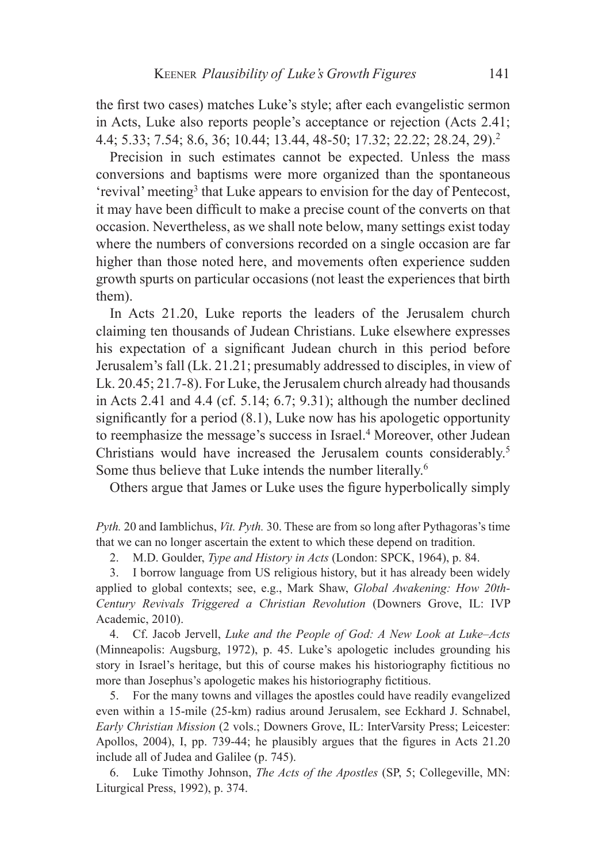the first two cases) matches Luke's style; after each evangelistic sermon in Acts, Luke also reports people's acceptance or rejection (Acts 2.41; 4.4; 5.33; 7.54; 8.6, 36; 10.44; 13.44, 48-50; 17.32; 22.22; 28.24, 29).<sup>2</sup>

Precision in such estimates cannot be expected. Unless the mass conversions and baptisms were more organized than the spontaneous 'revival' meeting<sup>3</sup> that Luke appears to envision for the day of Pentecost, it may have been difficult to make a precise count of the converts on that occasion. Nevertheless, as we shall note below, many settings exist today where the numbers of conversions recorded on a single occasion are far higher than those noted here, and movements often experience sudden growth spurts on particular occasions (not least the experiences that birth them).

In Acts 21.20, Luke reports the leaders of the Jerusalem church claiming ten thousands of Judean Christians. Luke elsewhere expresses his expectation of a significant Judean church in this period before Jerusalem's fall (Lk. 21.21; presumably addressed to disciples, in view of Lk. 20.45; 21.7-8). For Luke, the Jerusalem church already had thousands in Acts 2.41 and 4.4 (cf. 5.14; 6.7; 9.31); although the number declined significantly for a period (8.1), Luke now has his apologetic opportunity to reemphasize the message's success in Israel.<sup>4</sup> Moreover, other Judean Christians would have increased the Jerusalem counts considerably.5 Some thus believe that Luke intends the number literally.<sup>6</sup>

Others argue that James or Luke uses the figure hyperbolically simply

*Pyth.* 20 and Iamblichus, *Vit. Pyth.* 30. These are from so long after Pythagoras's time that we can no longer ascertain the extent to which these depend on tradition.

2. M.D. Goulder, *Type and History in Acts* (London: SPCK, 1964), p. 84.

3. I borrow language from US religious history, but it has already been widely applied to global contexts; see, e.g., Mark Shaw, *Global Awakening: How 20th-Century Revivals Triggered a Christian Revolution* (Downers Grove, IL: IVP Academic, 2010).

4. Cf. Jacob Jervell, *Luke and the People of God: A New Look at Luke–Acts* (Minneapolis: Augsburg, 1972), p. 45. Luke's apologetic includes grounding his story in Israel's heritage, but this of course makes his historiography fictitious no more than Josephus's apologetic makes his historiography fictitious.

5. For the many towns and villages the apostles could have readily evangelized even within a 15-mile (25-km) radius around Jerusalem, see Eckhard J. Schnabel, *Early Christian Mission* (2 vols.; Downers Grove, IL: InterVarsity Press; Leicester: Apollos, 2004), I, pp. 739-44; he plausibly argues that the figures in Acts 21.20 include all of Judea and Galilee (p. 745).

6. Luke Timothy Johnson, *The Acts of the Apostles* (SP, 5; Collegeville, MN: Liturgical Press, 1992), p. 374.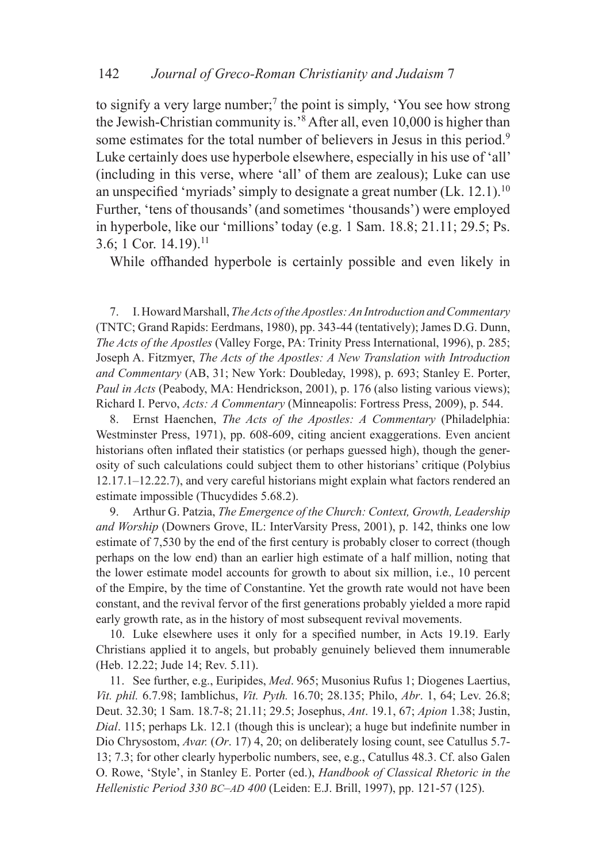to signify a very large number;<sup>7</sup> the point is simply, 'You see how strong the Jewish-Christian community is.'8 After all, even 10,000 is higher than some estimates for the total number of believers in Jesus in this period.<sup>9</sup> Luke certainly does use hyperbole elsewhere, especially in his use of 'all' (including in this verse, where 'all' of them are zealous); Luke can use an unspecified 'myriads' simply to designate a great number  $(Lk, 12.1)$ .<sup>10</sup> Further, 'tens of thousands' (and sometimes 'thousands') were employed in hyperbole, like our 'millions' today (e.g. 1 Sam. 18.8; 21.11; 29.5; Ps. 3.6; 1 Cor. 14.19).<sup>11</sup>

While offhanded hyperbole is certainly possible and even likely in

7. I. Howard Marshall, *The Acts of the Apostles: An Introduction and Commentary* (TNTC; Grand Rapids: Eerdmans, 1980), pp. 343-44 (tentatively); James D.G. Dunn, *The Acts of the Apostles* (Valley Forge, PA: Trinity Press International, 1996), p. 285; Joseph A. Fitzmyer, *The Acts of the Apostles: A New Translation with Introduction and Commentary* (AB, 31; New York: Doubleday, 1998), p. 693; Stanley E. Porter, *Paul in Acts* (Peabody, MA: Hendrickson, 2001), p. 176 (also listing various views); Richard I. Pervo, *Acts: A Commentary* (Minneapolis: Fortress Press, 2009), p. 544.

8. Ernst Haenchen, *The Acts of the Apostles: A Commentary* (Philadelphia: Westminster Press, 1971), pp. 608-609, citing ancient exaggerations. Even ancient historians often inflated their statistics (or perhaps guessed high), though the generosity of such calculations could subject them to other historians' critique (Polybius 12.17.1–12.22.7), and very careful historians might explain what factors rendered an estimate impossible (Thucydides 5.68.2).

9. Arthur G. Patzia, *The Emergence of the Church: Context, Growth, Leadership and Worship* (Downers Grove, IL: InterVarsity Press, 2001), p. 142, thinks one low estimate of 7,530 by the end of the first century is probably closer to correct (though perhaps on the low end) than an earlier high estimate of a half million, noting that the lower estimate model accounts for growth to about six million, i.e., 10 percent of the Empire, by the time of Constantine. Yet the growth rate would not have been constant, and the revival fervor of the first generations probably yielded a more rapid early growth rate, as in the history of most subsequent revival movements.

10. Luke elsewhere uses it only for a specified number, in Acts 19.19. Early Christians applied it to angels, but probably genuinely believed them innumerable (Heb. 12.22; Jude 14; Rev. 5.11).

11. See further, e.g., Euripides, *Med*. 965; Musonius Rufus 1; Diogenes Laertius, *Vit. phil.* 6.7.98; Iamblichus, *Vit. Pyth.* 16.70; 28.135; Philo, *Abr*. 1, 64; Lev. 26.8; Deut. 32.30; 1 Sam. 18.7-8; 21.11; 29.5; Josephus, *Ant*. 19.1, 67; *Apion* 1.38; Justin, *Dial*. 115; perhaps Lk. 12.1 (though this is unclear); a huge but indefinite number in Dio Chrysostom, *Avar.* (*Or*. 17) 4, 20; on deliberately losing count, see Catullus 5.7- 13; 7.3; for other clearly hyperbolic numbers, see, e.g., Catullus 48.3. Cf. also Galen O. Rowe, 'Style', in Stanley E. Porter (ed.), *Handbook of Classical Rhetoric in the Hellenistic Period 330 bc–ad 400* (Leiden: E.J. Brill, 1997), pp. 121-57 (125).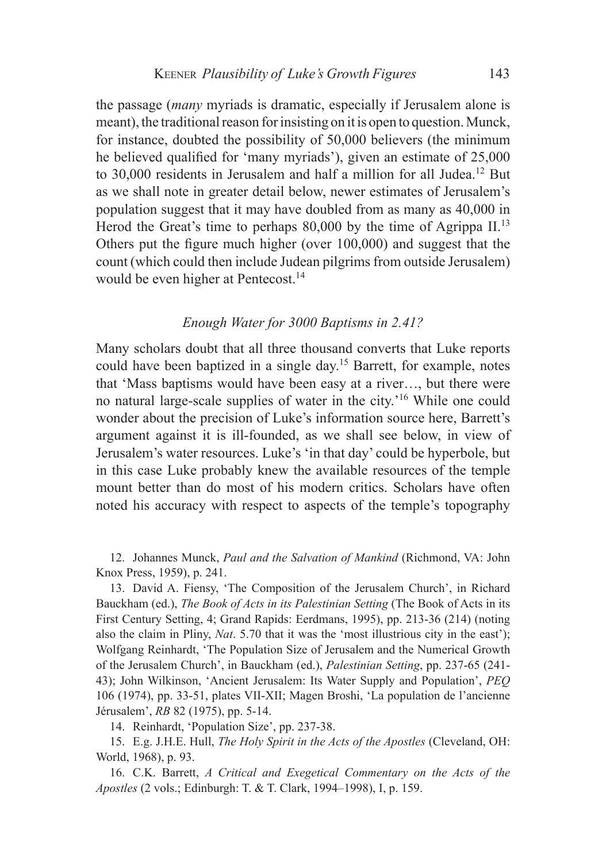the passage (*many* myriads is dramatic, especially if Jerusalem alone is meant), the traditional reason for insisting on it is open to question. Munck, for instance, doubted the possibility of 50,000 believers (the minimum he believed qualified for 'many myriads'), given an estimate of 25,000 to 30,000 residents in Jerusalem and half a million for all Judea.<sup>12</sup> But as we shall note in greater detail below, newer estimates of Jerusalem's population suggest that it may have doubled from as many as 40,000 in Herod the Great's time to perhaps 80,000 by the time of Agrippa  $II$ .<sup>13</sup> Others put the figure much higher (over 100,000) and suggest that the count (which could then include Judean pilgrims from outside Jerusalem) would be even higher at Pentecost.<sup>14</sup>

## *Enough Water for 3000 Baptisms in 2.41?*

Many scholars doubt that all three thousand converts that Luke reports could have been baptized in a single day.15 Barrett, for example, notes that 'Mass baptisms would have been easy at a river…, but there were no natural large-scale supplies of water in the city.'16 While one could wonder about the precision of Luke's information source here, Barrett's argument against it is ill-founded, as we shall see below, in view of Jerusalem's water resources. Luke's 'in that day' could be hyperbole, but in this case Luke probably knew the available resources of the temple mount better than do most of his modern critics. Scholars have often noted his accuracy with respect to aspects of the temple's topography

12. Johannes Munck, *Paul and the Salvation of Mankind* (Richmond, VA: John Knox Press, 1959), p. 241.

13. David A. Fiensy, 'The Composition of the Jerusalem Church', in Richard Bauckham (ed.), *The Book of Acts in its Palestinian Setting* (The Book of Acts in its First Century Setting, 4; Grand Rapids: Eerdmans, 1995), pp. 213-36 (214) (noting also the claim in Pliny, *Nat*. 5.70 that it was the 'most illustrious city in the east'); Wolfgang Reinhardt, 'The Population Size of Jerusalem and the Numerical Growth of the Jerusalem Church', in Bauckham (ed.), *Palestinian Setting*, pp. 237-65 (241- 43); John Wilkinson, 'Ancient Jerusalem: Its Water Supply and Population', *PEQ* 106 (1974), pp. 33-51, plates VII-XII; Magen Broshi, 'La population de l'ancienne Jérusalem', *RB* 82 (1975), pp. 5-14.

14. Reinhardt, 'Population Size', pp. 237-38.

15. E.g. J.H.E. Hull, *The Holy Spirit in the Acts of the Apostles* (Cleveland, OH: World, 1968), p. 93.

16. C.K. Barrett, *A Critical and Exegetical Commentary on the Acts of the Apostles* (2 vols.; Edinburgh: T. & T. Clark, 1994–1998), I, p. 159.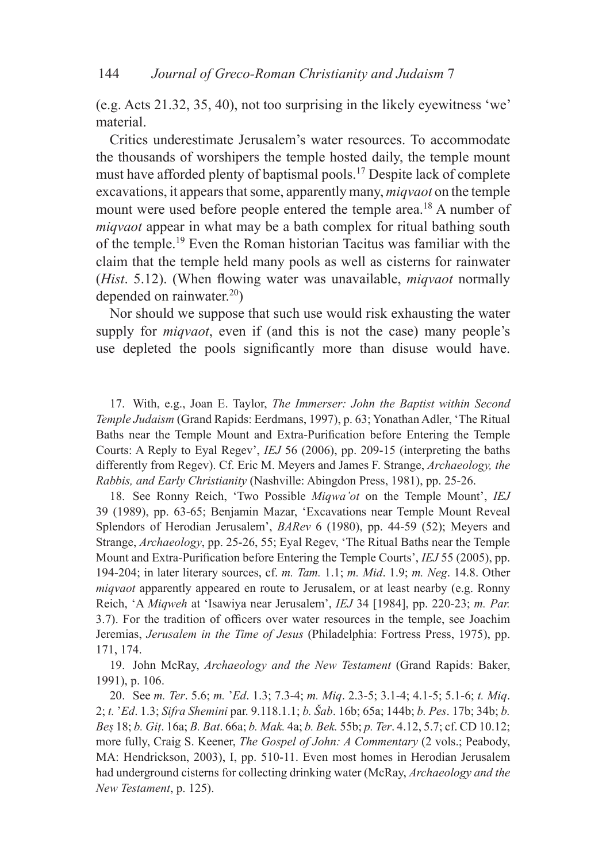(e.g. Acts 21.32, 35, 40), not too surprising in the likely eyewitness 'we' material.

Critics underestimate Jerusalem's water resources. To accommodate the thousands of worshipers the temple hosted daily, the temple mount must have afforded plenty of baptismal pools.17 Despite lack of complete excavations, it appears that some, apparently many, *miqvaot* on the temple mount were used before people entered the temple area.<sup>18</sup> A number of *miqvaot* appear in what may be a bath complex for ritual bathing south of the temple.19 Even the Roman historian Tacitus was familiar with the claim that the temple held many pools as well as cisterns for rainwater (*Hist*. 5.12). (When flowing water was unavailable, *miqvaot* normally depended on rainwater. $^{20}$ )

Nor should we suppose that such use would risk exhausting the water supply for *miqvaot*, even if (and this is not the case) many people's use depleted the pools significantly more than disuse would have.

17. With, e.g., Joan E. Taylor, *The Immerser: John the Baptist within Second Temple Judaism* (Grand Rapids: Eerdmans, 1997), p. 63; Yonathan Adler, 'The Ritual Baths near the Temple Mount and Extra-Purification before Entering the Temple Courts: A Reply to Eyal Regev', *IEJ* 56 (2006), pp. 209-15 (interpreting the baths differently from Regev). Cf. Eric M. Meyers and James F. Strange, *Archaeology, the Rabbis, and Early Christianity* (Nashville: Abingdon Press, 1981), pp. 25-26.

18. See Ronny Reich, 'Two Possible *Miqwa'ot* on the Temple Mount', *IEJ* 39 (1989), pp. 63-65; Benjamin Mazar, 'Excavations near Temple Mount Reveal Splendors of Herodian Jerusalem', *BARev* 6 (1980), pp. 44-59 (52); Meyers and Strange, *Archaeology*, pp. 25-26, 55; Eyal Regev, 'The Ritual Baths near the Temple Mount and Extra-Purification before Entering the Temple Courts', *IEJ* 55 (2005), pp. 194-204; in later literary sources, cf. *m. Tam.* 1.1; *m. Mid*. 1.9; *m. Neg*. 14.8. Other *miqvaot* apparently appeared en route to Jerusalem, or at least nearby (e.g. Ronny Reich, 'A *Miqweh* at 'Isawiya near Jerusalem', *IEJ* 34 [1984], pp. 220-23; *m. Par.* 3.7). For the tradition of officers over water resources in the temple, see Joachim Jeremias, *Jerusalem in the Time of Jesus* (Philadelphia: Fortress Press, 1975), pp. 171, 174.

19. John McRay, *Archaeology and the New Testament* (Grand Rapids: Baker, 1991), p. 106.

20. See *m. Ter*. 5.6; *m.* '*Ed*. 1.3; 7.3-4; *m. Miq*. 2.3-5; 3.1-4; 4.1-5; 5.1-6; *t. Miq*. 2; *t.* '*Ed*. 1.3; *Sifra Shemini* par. 9.118.1.1; *b. Šab*. 16b; 65a; 144b; *b. Pes*. 17b; 34b; *b. Bes* 18; *b. Git*. 16a; *B. Bat*. 66a; *b. Mak.* 4a; *b. Bek.* 55b; *p. Ter*. 4.12, 5.7; cf. CD 10.12; more fully, Craig S. Keener, *The Gospel of John: A Commentary* (2 vols.; Peabody, MA: Hendrickson, 2003), I, pp. 510-11. Even most homes in Herodian Jerusalem had underground cisterns for collecting drinking water (McRay, *Archaeology and the New Testament*, p. 125).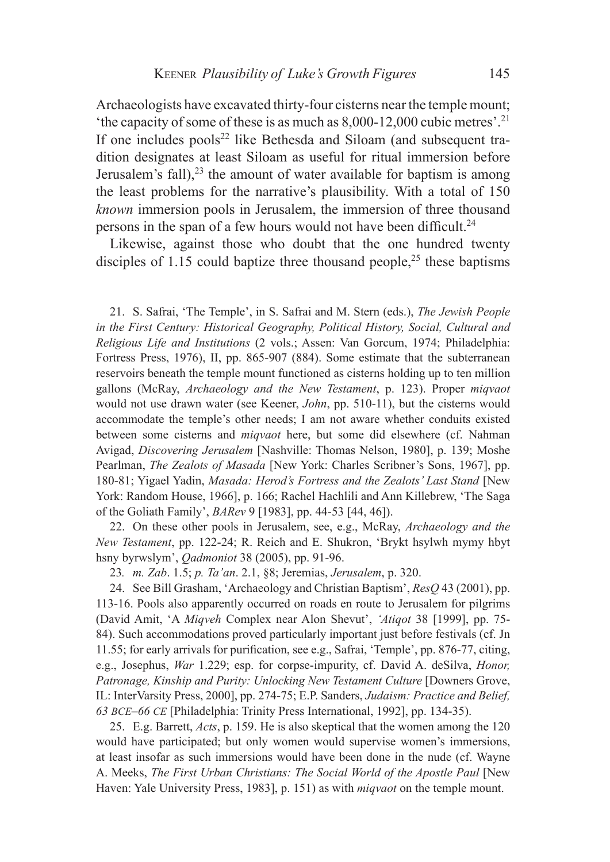Archaeologists have excavated thirty-four cisterns near the temple mount; 'the capacity of some of these is as much as  $8,000-12,000$  cubic metres'.<sup>21</sup> If one includes pools<sup>22</sup> like Bethesda and Siloam (and subsequent tradition designates at least Siloam as useful for ritual immersion before Jerusalem's fall),  $23$  the amount of water available for baptism is among the least problems for the narrative's plausibility. With a total of 150 *known* immersion pools in Jerusalem, the immersion of three thousand persons in the span of a few hours would not have been difficult.<sup>24</sup>

Likewise, against those who doubt that the one hundred twenty disciples of 1.15 could baptize three thousand people,<sup>25</sup> these baptisms

21. S. Safrai, 'The Temple', in S. Safrai and M. Stern (eds.), *The Jewish People in the First Century: Historical Geography, Political History, Social, Cultural and Religious Life and Institutions* (2 vols.; Assen: Van Gorcum, 1974; Philadelphia: Fortress Press, 1976), II, pp. 865-907 (884). Some estimate that the subterranean reservoirs beneath the temple mount functioned as cisterns holding up to ten million gallons (McRay, *Archaeology and the New Testament*, p. 123). Proper *miqvaot* would not use drawn water (see Keener, *John*, pp. 510-11), but the cisterns would accommodate the temple's other needs; I am not aware whether conduits existed between some cisterns and *miqvaot* here, but some did elsewhere (cf. Nahman Avigad, *Discovering Jerusalem* [Nashville: Thomas Nelson, 1980], p. 139; Moshe Pearlman, *The Zealots of Masada* [New York: Charles Scribner's Sons, 1967], pp. 180-81; Yigael Yadin, *Masada: Herod's Fortress and the Zealots' Last Stand* [New York: Random House, 1966], p. 166; Rachel Hachlili and Ann Killebrew, 'The Saga of the Goliath Family', *BARev* 9 [1983], pp. 44-53 [44, 46]).

22. On these other pools in Jerusalem, see, e.g., McRay, *Archaeology and the New Testament*, pp. 122-24; R. Reich and E. Shukron, 'Brykt hsylwh mymy hbyt hsny byrwslym', *Qadmoniot* 38 (2005), pp. 91-96.

23*. m. Zab*. 1.5; *p. Ta'an*. 2.1, §8; Jeremias, *Jerusalem*, p. 320.

24. See Bill Grasham, 'Archaeology and Christian Baptism', *ResQ* 43 (2001), pp. 113-16. Pools also apparently occurred on roads en route to Jerusalem for pilgrims (David Amit, 'A *Miqveh* Complex near Alon Shevut', *'Atiqot* 38 [1999], pp. 75- 84). Such accommodations proved particularly important just before festivals (cf. Jn 11.55; for early arrivals for purification, see e.g., Safrai, 'Temple', pp. 876-77, citing, e.g., Josephus, *War* 1.229; esp. for corpse-impurity, cf. David A. deSilva, *Honor, Patronage, Kinship and Purity: Unlocking New Testament Culture* [Downers Grove, IL: InterVarsity Press, 2000], pp. 274-75; E.P. Sanders, *Judaism: Practice and Belief, 63 bce–66 ce* [Philadelphia: Trinity Press International, 1992], pp. 134-35).

25. E.g. Barrett, *Acts*, p. 159. He is also skeptical that the women among the 120 would have participated; but only women would supervise women's immersions, at least insofar as such immersions would have been done in the nude (cf. Wayne A. Meeks, *The First Urban Christians: The Social World of the Apostle Paul* [New Haven: Yale University Press, 1983], p. 151) as with *miqvaot* on the temple mount.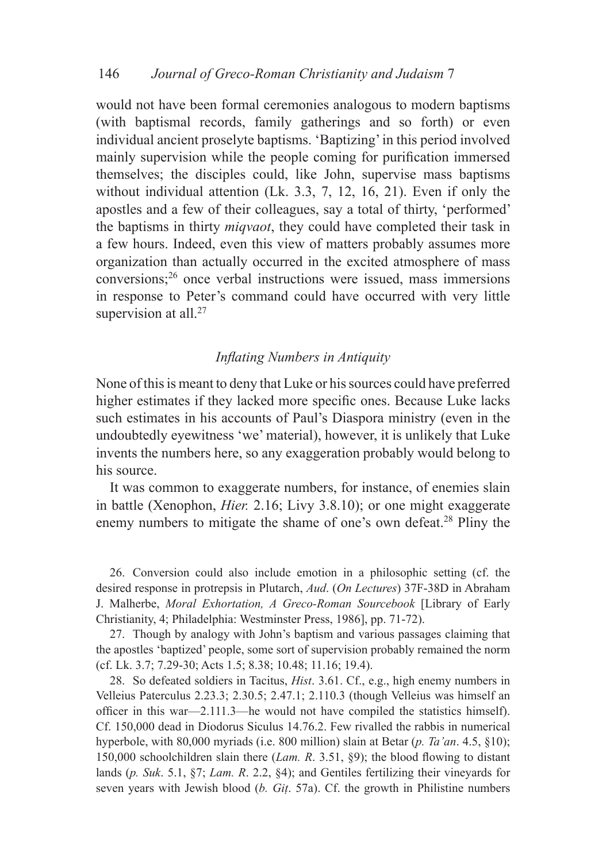would not have been formal ceremonies analogous to modern baptisms (with baptismal records, family gatherings and so forth) or even individual ancient proselyte baptisms. 'Baptizing' in this period involved mainly supervision while the people coming for purification immersed themselves; the disciples could, like John, supervise mass baptisms without individual attention (Lk. 3.3, 7, 12, 16, 21). Even if only the apostles and a few of their colleagues, say a total of thirty, 'performed' the baptisms in thirty *miqvaot*, they could have completed their task in a few hours. Indeed, even this view of matters probably assumes more organization than actually occurred in the excited atmosphere of mass conversions;26 once verbal instructions were issued, mass immersions in response to Peter's command could have occurred with very little supervision at all.<sup>27</sup>

# *Inflating Numbers in Antiquity*

None of this is meant to deny that Luke or his sources could have preferred higher estimates if they lacked more specific ones. Because Luke lacks such estimates in his accounts of Paul's Diaspora ministry (even in the undoubtedly eyewitness 'we' material), however, it is unlikely that Luke invents the numbers here, so any exaggeration probably would belong to his source.

It was common to exaggerate numbers, for instance, of enemies slain in battle (Xenophon, *Hier.* 2.16; Livy 3.8.10); or one might exaggerate enemy numbers to mitigate the shame of one's own defeat.<sup>28</sup> Pliny the

26. Conversion could also include emotion in a philosophic setting (cf. the desired response in protrepsis in Plutarch, *Aud*. (*On Lectures*) 37F-38D in Abraham J. Malherbe, *Moral Exhortation, A Greco-Roman Sourcebook* [Library of Early Christianity, 4; Philadelphia: Westminster Press, 1986], pp. 71-72).

27. Though by analogy with John's baptism and various passages claiming that the apostles 'baptized' people, some sort of supervision probably remained the norm (cf. Lk. 3.7; 7.29-30; Acts 1.5; 8.38; 10.48; 11.16; 19.4).

28. So defeated soldiers in Tacitus, *Hist*. 3.61. Cf., e.g., high enemy numbers in Velleius Paterculus 2.23.3; 2.30.5; 2.47.1; 2.110.3 (though Velleius was himself an officer in this war—2.111.3—he would not have compiled the statistics himself). Cf. 150,000 dead in Diodorus Siculus 14.76.2. Few rivalled the rabbis in numerical hyperbole, with 80,000 myriads (i.e. 800 million) slain at Betar (*p. Ta'an*. 4.5, §10); 150,000 schoolchildren slain there (*Lam. R*. 3.51, §9); the blood flowing to distant lands (*p. Suk*. 5.1, §7; *Lam. R*. 2.2, §4); and Gentiles fertilizing their vineyards for seven years with Jewish blood (*b. Git*. 57a). Cf. the growth in Philistine numbers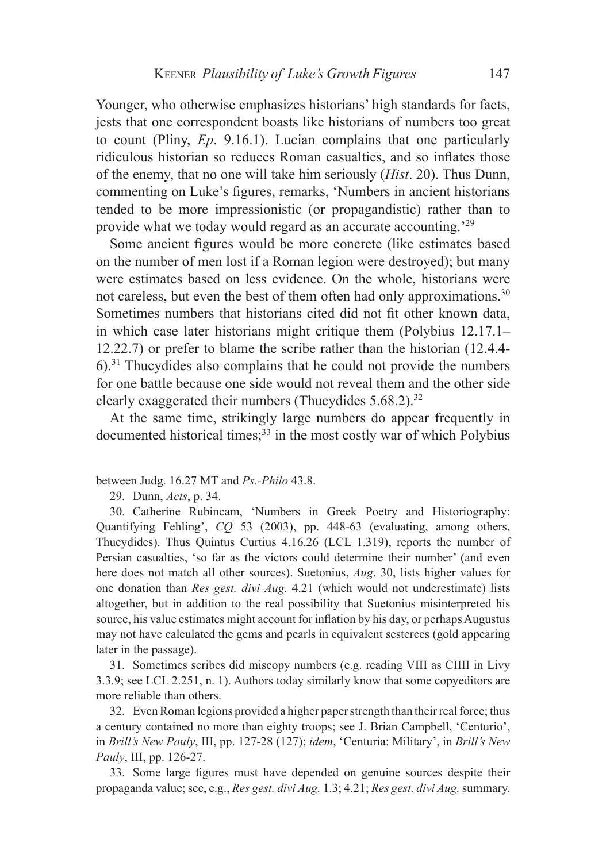Younger, who otherwise emphasizes historians' high standards for facts, jests that one correspondent boasts like historians of numbers too great to count (Pliny, *Ep*. 9.16.1). Lucian complains that one particularly ridiculous historian so reduces Roman casualties, and so inflates those of the enemy, that no one will take him seriously (*Hist*. 20). Thus Dunn, commenting on Luke's figures, remarks, 'Numbers in ancient historians tended to be more impressionistic (or propagandistic) rather than to provide what we today would regard as an accurate accounting.'29

Some ancient figures would be more concrete (like estimates based on the number of men lost if a Roman legion were destroyed); but many were estimates based on less evidence. On the whole, historians were not careless, but even the best of them often had only approximations.<sup>30</sup> Sometimes numbers that historians cited did not fit other known data, in which case later historians might critique them (Polybius 12.17.1– 12.22.7) or prefer to blame the scribe rather than the historian (12.4.4- 6).31 Thucydides also complains that he could not provide the numbers for one battle because one side would not reveal them and the other side clearly exaggerated their numbers (Thucydides  $5.68.2$ )<sup>32</sup>

At the same time, strikingly large numbers do appear frequently in documented historical times; $^{33}$  in the most costly war of which Polybius

between Judg. 16.27 MT and *Ps.-Philo* 43.8.

29. Dunn, *Acts*, p. 34.

30. Catherine Rubincam, 'Numbers in Greek Poetry and Historiography: Quantifying Fehling', *CQ* 53 (2003), pp. 448-63 (evaluating, among others, Thucydides). Thus Quintus Curtius 4.16.26 (LCL 1.319), reports the number of Persian casualties, 'so far as the victors could determine their number' (and even here does not match all other sources). Suetonius, *Aug*. 30, lists higher values for one donation than *Res gest. divi Aug.* 4.21 (which would not underestimate) lists altogether, but in addition to the real possibility that Suetonius misinterpreted his source, his value estimates might account for inflation by his day, or perhaps Augustus may not have calculated the gems and pearls in equivalent sesterces (gold appearing later in the passage).

31. Sometimes scribes did miscopy numbers (e.g. reading VIII as CIIII in Livy 3.3.9; see LCL 2.251, n. 1). Authors today similarly know that some copyeditors are more reliable than others.

32. Even Roman legions provided a higher paper strength than their real force; thus a century contained no more than eighty troops; see J. Brian Campbell, 'Centurio', in *Brill's New Pauly*, III, pp. 127-28 (127); *idem*, 'Centuria: Military', in *Brill's New Pauly*, III, pp. 126-27.

33. Some large figures must have depended on genuine sources despite their propaganda value; see, e.g., *Res gest. divi Aug.* 1.3; 4.21; *Res gest. divi Aug.* summary.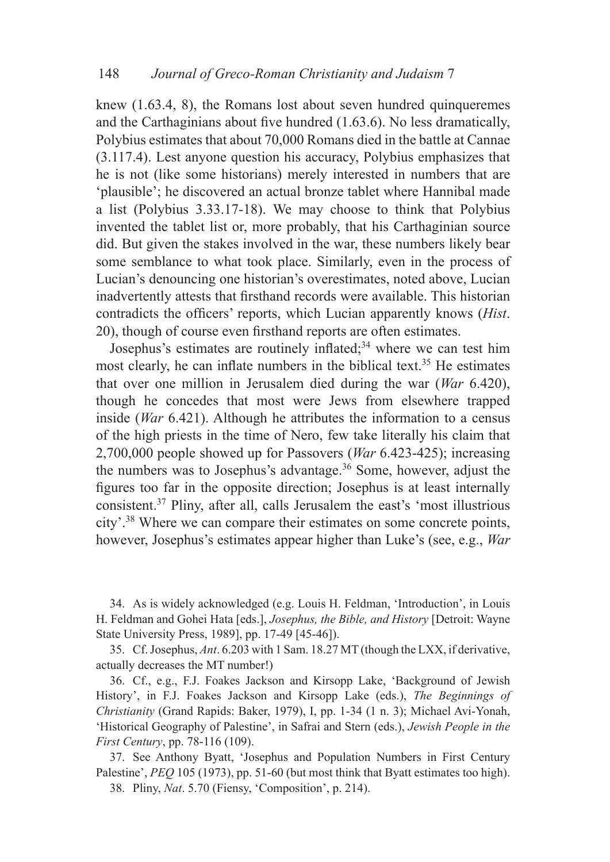knew (1.63.4, 8), the Romans lost about seven hundred quinqueremes and the Carthaginians about five hundred (1.63.6). No less dramatically, Polybius estimates that about 70,000 Romans died in the battle at Cannae (3.117.4). Lest anyone question his accuracy, Polybius emphasizes that he is not (like some historians) merely interested in numbers that are 'plausible'; he discovered an actual bronze tablet where Hannibal made a list (Polybius 3.33.17-18). We may choose to think that Polybius invented the tablet list or, more probably, that his Carthaginian source did. But given the stakes involved in the war, these numbers likely bear some semblance to what took place. Similarly, even in the process of Lucian's denouncing one historian's overestimates, noted above, Lucian inadvertently attests that firsthand records were available. This historian contradicts the officers' reports, which Lucian apparently knows (*Hist*. 20), though of course even firsthand reports are often estimates.

Josephus's estimates are routinely inflated;34 where we can test him most clearly, he can inflate numbers in the biblical text.<sup>35</sup> He estimates that over one million in Jerusalem died during the war (*War* 6.420), though he concedes that most were Jews from elsewhere trapped inside (*War* 6.421). Although he attributes the information to a census of the high priests in the time of Nero, few take literally his claim that 2,700,000 people showed up for Passovers (*War* 6.423-425); increasing the numbers was to Josephus's advantage.<sup>36</sup> Some, however, adjust the figures too far in the opposite direction; Josephus is at least internally consistent.37 Pliny, after all, calls Jerusalem the east's 'most illustrious city'.38 Where we can compare their estimates on some concrete points, however, Josephus's estimates appear higher than Luke's (see, e.g., *War*

34. As is widely acknowledged (e.g. Louis H. Feldman, 'Introduction', in Louis H. Feldman and Gohei Hata [eds.], *Josephus, the Bible, and History* [Detroit: Wayne State University Press, 1989], pp. 17-49 [45-46]).

35. Cf. Josephus, *Ant*. 6.203 with 1 Sam. 18.27 MT (though the LXX, if derivative, actually decreases the MT number!)

36. Cf., e.g., F.J. Foakes Jackson and Kirsopp Lake, 'Background of Jewish History', in F.J. Foakes Jackson and Kirsopp Lake (eds.), *The Beginnings of Christianity* (Grand Rapids: Baker, 1979), I, pp. 1-34 (1 n. 3); Michael Avi-Yonah, 'Historical Geography of Palestine', in Safrai and Stern (eds.), *Jewish People in the First Century*, pp. 78-116 (109).

37. See Anthony Byatt, 'Josephus and Population Numbers in First Century Palestine', *PEQ* 105 (1973), pp. 51-60 (but most think that Byatt estimates too high). 38. Pliny, *Nat*. 5.70 (Fiensy, 'Composition', p. 214).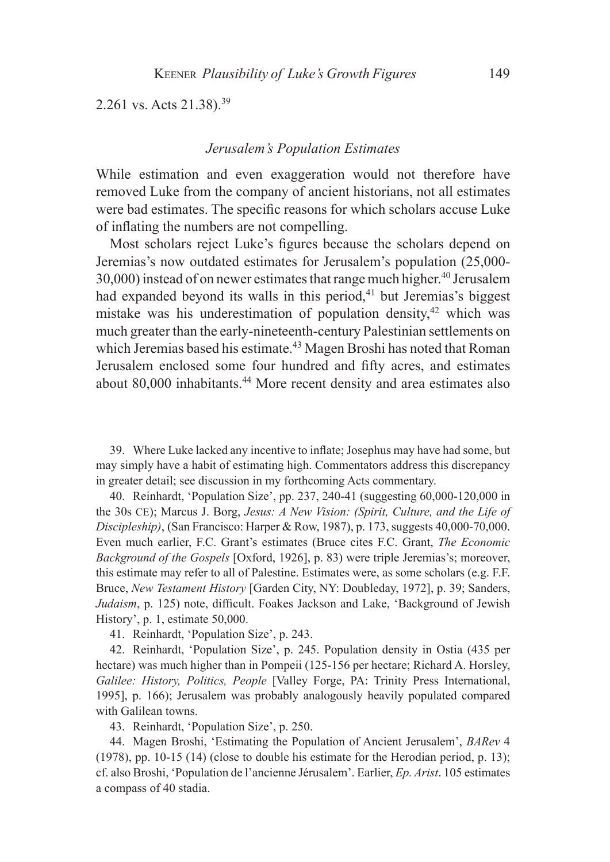2.261 vs. Acts 21.38).39

#### *Jerusalem's Population Estimates*

While estimation and even exaggeration would not therefore have removed Luke from the company of ancient historians, not all estimates were bad estimates. The specific reasons for which scholars accuse Luke of inflating the numbers are not compelling.

Most scholars reject Luke's figures because the scholars depend on Jeremias's now outdated estimates for Jerusalem's population (25,000-  $30,000$ ) instead of on newer estimates that range much higher.<sup>40</sup> Jerusalem had expanded beyond its walls in this period,  $41$  but Jeremias's biggest mistake was his underestimation of population density, $42$  which was much greater than the early-nineteenth-century Palestinian settlements on which Jeremias based his estimate.<sup>43</sup> Magen Broshi has noted that Roman Jerusalem enclosed some four hundred and fifty acres, and estimates about 80,000 inhabitants.44 More recent density and area estimates also

39. Where Luke lacked any incentive to inflate; Josephus may have had some, but may simply have a habit of estimating high. Commentators address this discrepancy in greater detail; see discussion in my forthcoming Acts commentary.

40. Reinhardt, 'Population Size', pp. 237, 240-41 (suggesting 60,000-120,000 in the 30s ce); Marcus J. Borg, *Jesus: A New Vision: (Spirit, Culture, and the Life of Discipleship)*, (San Francisco: Harper & Row, 1987), p. 173, suggests 40,000-70,000. Even much earlier, F.C. Grant's estimates (Bruce cites F.C. Grant, *The Economic Background of the Gospels* [Oxford, 1926], p. 83) were triple Jeremias's; moreover, this estimate may refer to all of Palestine. Estimates were, as some scholars (e.g. F.F. Bruce, *New Testament History* [Garden City, NY: Doubleday, 1972], p. 39; Sanders, *Judaism*, p. 125) note, difficult. Foakes Jackson and Lake, 'Background of Jewish History', p. 1, estimate 50,000.

41. Reinhardt, 'Population Size', p. 243.

42. Reinhardt, 'Population Size', p. 245. Population density in Ostia (435 per hectare) was much higher than in Pompeii (125-156 per hectare; Richard A. Horsley, *Galilee: History, Politics, People* [Valley Forge, PA: Trinity Press International, 1995], p. 166); Jerusalem was probably analogously heavily populated compared with Galilean towns.

43. Reinhardt, 'Population Size', p. 250.

44. Magen Broshi, 'Estimating the Population of Ancient Jerusalem', *BARev* 4 (1978), pp. 10-15 (14) (close to double his estimate for the Herodian period, p. 13); cf. also Broshi, 'Population de l'ancienne Jérusalem'. Earlier, *Ep. Arist*. 105 estimates a compass of 40 stadia.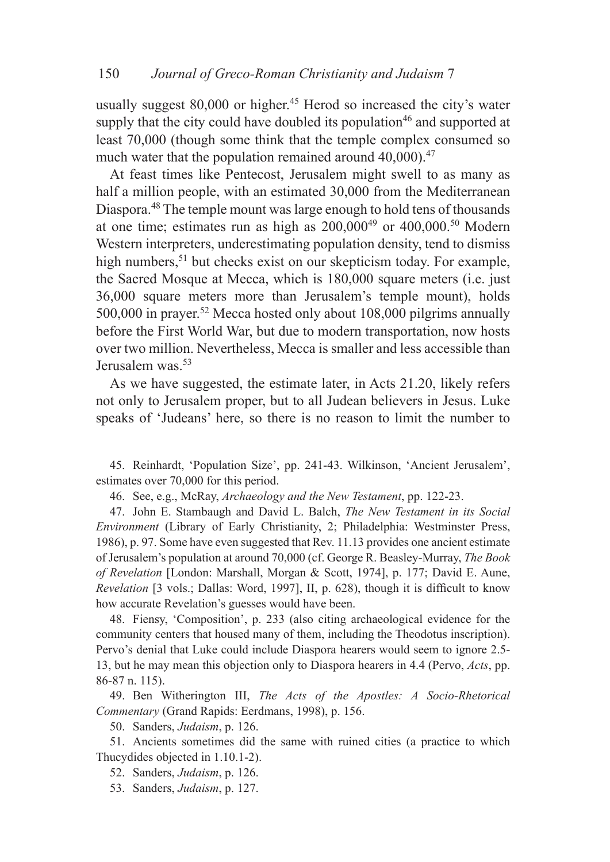usually suggest  $80,000$  or higher.<sup>45</sup> Herod so increased the city's water supply that the city could have doubled its population<sup>46</sup> and supported at least 70,000 (though some think that the temple complex consumed so much water that the population remained around  $40,000$ .<sup>47</sup>

At feast times like Pentecost, Jerusalem might swell to as many as half a million people, with an estimated 30,000 from the Mediterranean Diaspora.48 The temple mount was large enough to hold tens of thousands at one time; estimates run as high as  $200,000^{49}$  or  $400,000^{50}$  Modern Western interpreters, underestimating population density, tend to dismiss high numbers,<sup>51</sup> but checks exist on our skepticism today. For example, the Sacred Mosque at Mecca, which is 180,000 square meters (i.e. just 36,000 square meters more than Jerusalem's temple mount), holds 500,000 in prayer.52 Mecca hosted only about 108,000 pilgrims annually before the First World War, but due to modern transportation, now hosts over two million. Nevertheless, Mecca is smaller and less accessible than Jerusalem was.53

As we have suggested, the estimate later, in Acts 21.20, likely refers not only to Jerusalem proper, but to all Judean believers in Jesus. Luke speaks of 'Judeans' here, so there is no reason to limit the number to

45. Reinhardt, 'Population Size', pp. 241-43. Wilkinson, 'Ancient Jerusalem', estimates over 70,000 for this period.

46. See, e.g., McRay, *Archaeology and the New Testament*, pp. 122-23.

47. John E. Stambaugh and David L. Balch, *The New Testament in its Social Environment* (Library of Early Christianity, 2; Philadelphia: Westminster Press, 1986), p. 97. Some have even suggested that Rev. 11.13 provides one ancient estimate of Jerusalem's population at around 70,000 (cf. George R. Beasley-Murray, *The Book of Revelation* [London: Marshall, Morgan & Scott, 1974], p. 177; David E. Aune, *Revelation* [3 vols.; Dallas: Word, 1997], II, p. 628), though it is difficult to know how accurate Revelation's guesses would have been.

48. Fiensy, 'Composition', p. 233 (also citing archaeological evidence for the community centers that housed many of them, including the Theodotus inscription). Pervo's denial that Luke could include Diaspora hearers would seem to ignore 2.5- 13, but he may mean this objection only to Diaspora hearers in 4.4 (Pervo, *Acts*, pp. 86-87 n. 115).

49. Ben Witherington III, *The Acts of the Apostles: A Socio-Rhetorical Commentary* (Grand Rapids: Eerdmans, 1998), p. 156.

50. Sanders, *Judaism*, p. 126.

51. Ancients sometimes did the same with ruined cities (a practice to which Thucydides objected in 1.10.1-2).

52. Sanders, *Judaism*, p. 126.

53. Sanders, *Judaism*, p. 127.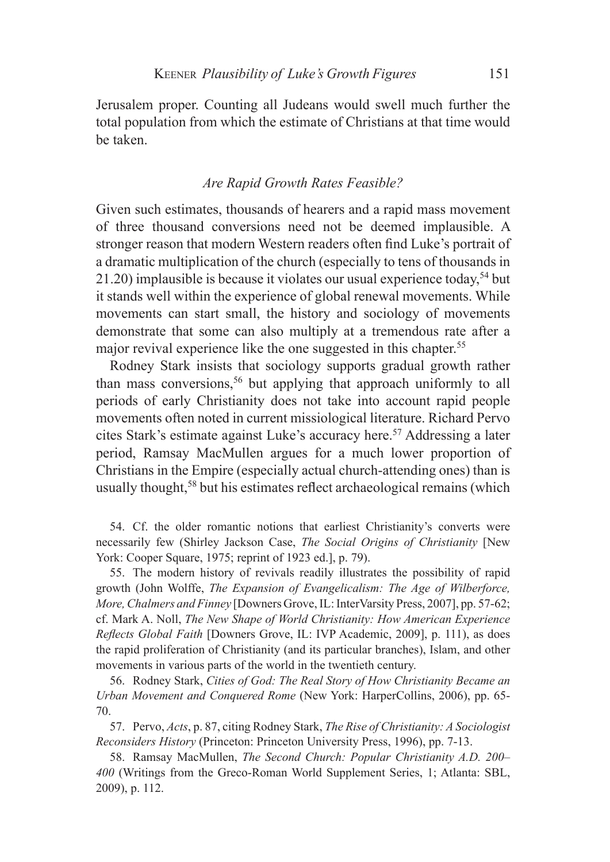Jerusalem proper. Counting all Judeans would swell much further the total population from which the estimate of Christians at that time would be taken.

#### *Are Rapid Growth Rates Feasible?*

Given such estimates, thousands of hearers and a rapid mass movement of three thousand conversions need not be deemed implausible. A stronger reason that modern Western readers often find Luke's portrait of a dramatic multiplication of the church (especially to tens of thousands in 21.20) implausible is because it violates our usual experience today,  $54$  but it stands well within the experience of global renewal movements. While movements can start small, the history and sociology of movements demonstrate that some can also multiply at a tremendous rate after a major revival experience like the one suggested in this chapter.<sup>55</sup>

Rodney Stark insists that sociology supports gradual growth rather than mass conversions,<sup>56</sup> but applying that approach uniformly to all periods of early Christianity does not take into account rapid people movements often noted in current missiological literature. Richard Pervo cites Stark's estimate against Luke's accuracy here.57 Addressing a later period, Ramsay MacMullen argues for a much lower proportion of Christians in the Empire (especially actual church-attending ones) than is usually thought,58 but his estimates reflect archaeological remains (which

54. Cf. the older romantic notions that earliest Christianity's converts were necessarily few (Shirley Jackson Case, *The Social Origins of Christianity* [New York: Cooper Square, 1975; reprint of 1923 ed.], p. 79).

55. The modern history of revivals readily illustrates the possibility of rapid growth (John Wolffe, *The Expansion of Evangelicalism: The Age of Wilberforce, More, Chalmers and Finney* [Downers Grove, IL: InterVarsity Press, 2007], pp. 57-62; cf. Mark A. Noll, *The New Shape of World Christianity: How American Experience Reflects Global Faith* [Downers Grove, IL: IVP Academic, 2009], p. 111), as does the rapid proliferation of Christianity (and its particular branches), Islam, and other movements in various parts of the world in the twentieth century.

56. Rodney Stark, *Cities of God: The Real Story of How Christianity Became an Urban Movement and Conquered Rome* (New York: HarperCollins, 2006), pp. 65- 70.

57. Pervo, *Acts*, p. 87, citing Rodney Stark, *The Rise of Christianity: A Sociologist Reconsiders History* (Princeton: Princeton University Press, 1996), pp. 7-13.

58. Ramsay MacMullen, *The Second Church: Popular Christianity A.D. 200– 400* (Writings from the Greco-Roman World Supplement Series, 1; Atlanta: SBL, 2009), p. 112.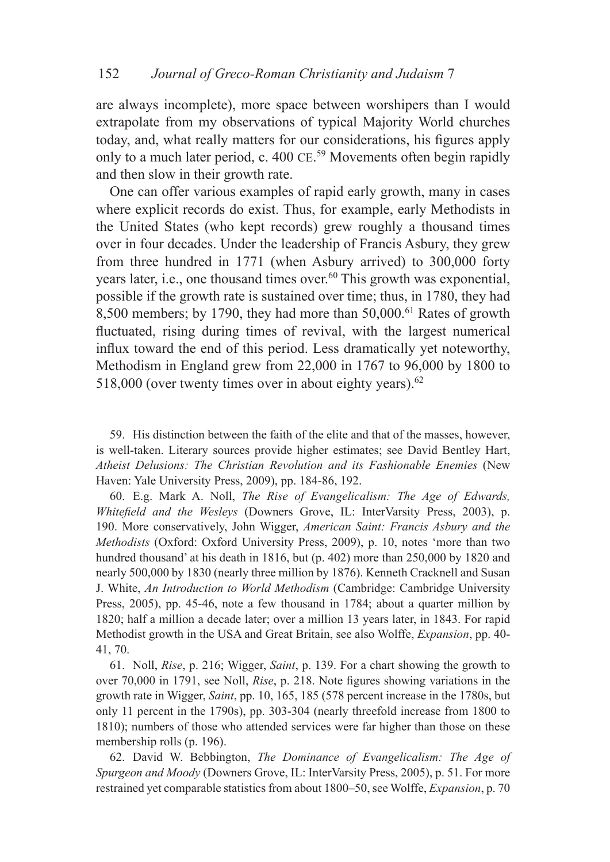are always incomplete), more space between worshipers than I would extrapolate from my observations of typical Majority World churches today, and, what really matters for our considerations, his figures apply only to a much later period, c. 400 CE.<sup>59</sup> Movements often begin rapidly and then slow in their growth rate.

One can offer various examples of rapid early growth, many in cases where explicit records do exist. Thus, for example, early Methodists in the United States (who kept records) grew roughly a thousand times over in four decades. Under the leadership of Francis Asbury, they grew from three hundred in 1771 (when Asbury arrived) to 300,000 forty years later, i.e., one thousand times over.<sup>60</sup> This growth was exponential, possible if the growth rate is sustained over time; thus, in 1780, they had 8,500 members; by 1790, they had more than  $50,000$ .<sup>61</sup> Rates of growth fluctuated, rising during times of revival, with the largest numerical influx toward the end of this period. Less dramatically yet noteworthy, Methodism in England grew from 22,000 in 1767 to 96,000 by 1800 to 518,000 (over twenty times over in about eighty years). $62$ 

59. His distinction between the faith of the elite and that of the masses, however, is well-taken. Literary sources provide higher estimates; see David Bentley Hart, *Atheist Delusions: The Christian Revolution and its Fashionable Enemies* (New Haven: Yale University Press, 2009), pp. 184-86, 192.

60. E.g. Mark A. Noll, *The Rise of Evangelicalism: The Age of Edwards, Whitefield and the Wesleys* (Downers Grove, IL: InterVarsity Press, 2003), p. 190. More conservatively, John Wigger, *American Saint: Francis Asbury and the Methodists* (Oxford: Oxford University Press, 2009), p. 10, notes 'more than two hundred thousand' at his death in 1816, but (p. 402) more than 250,000 by 1820 and nearly 500,000 by 1830 (nearly three million by 1876). Kenneth Cracknell and Susan J. White, *An Introduction to World Methodism* (Cambridge: Cambridge University Press, 2005), pp. 45-46, note a few thousand in 1784; about a quarter million by 1820; half a million a decade later; over a million 13 years later, in 1843. For rapid Methodist growth in the USA and Great Britain, see also Wolffe, *Expansion*, pp. 40- 41, 70.

61. Noll, *Rise*, p. 216; Wigger, *Saint*, p. 139. For a chart showing the growth to over 70,000 in 1791, see Noll, *Rise*, p. 218. Note figures showing variations in the growth rate in Wigger, *Saint*, pp. 10, 165, 185 (578 percent increase in the 1780s, but only 11 percent in the 1790s), pp. 303-304 (nearly threefold increase from 1800 to 1810); numbers of those who attended services were far higher than those on these membership rolls (p. 196).

62. David W. Bebbington, *The Dominance of Evangelicalism: The Age of Spurgeon and Moody* (Downers Grove, IL: InterVarsity Press, 2005), p. 51. For more restrained yet comparable statistics from about 1800–50, see Wolffe, *Expansion*, p. 70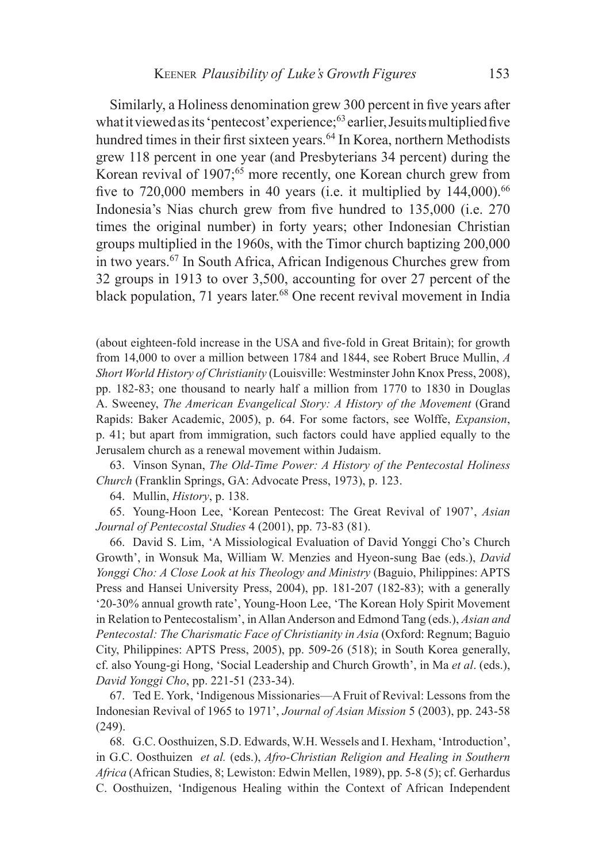Similarly, a Holiness denomination grew 300 percent in five years after what it viewed as its 'pentecost' experience;<sup>63</sup> earlier, Jesuits multiplied five hundred times in their first sixteen years.<sup>64</sup> In Korea, northern Methodists grew 118 percent in one year (and Presbyterians 34 percent) during the Korean revival of 1907;<sup>65</sup> more recently, one Korean church grew from five to  $720,000$  members in 40 years (i.e. it multiplied by  $144,000$ ).<sup>66</sup> Indonesia's Nias church grew from five hundred to 135,000 (i.e. 270 times the original number) in forty years; other Indonesian Christian groups multiplied in the 1960s, with the Timor church baptizing 200,000 in two years.67 In South Africa, African Indigenous Churches grew from 32 groups in 1913 to over 3,500, accounting for over 27 percent of the black population, 71 years later.<sup>68</sup> One recent revival movement in India

(about eighteen-fold increase in the USA and five-fold in Great Britain); for growth from 14,000 to over a million between 1784 and 1844, see Robert Bruce Mullin, *A Short World History of Christianity* (Louisville: Westminster John Knox Press, 2008), pp. 182-83; one thousand to nearly half a million from 1770 to 1830 in Douglas A. Sweeney, *The American Evangelical Story: A History of the Movement* (Grand Rapids: Baker Academic, 2005), p. 64. For some factors, see Wolffe, *Expansion*, p. 41; but apart from immigration, such factors could have applied equally to the Jerusalem church as a renewal movement within Judaism.

63. Vinson Synan, *The Old-Time Power: A History of the Pentecostal Holiness Church* (Franklin Springs, GA: Advocate Press, 1973), p. 123.

64. Mullin, *History*, p. 138.

65. Young-Hoon Lee, 'Korean Pentecost: The Great Revival of 1907', *Asian Journal of Pentecostal Studies* 4 (2001), pp. 73-83 (81).

66. David S. Lim, 'A Missiological Evaluation of David Yonggi Cho's Church Growth', in Wonsuk Ma, William W. Menzies and Hyeon-sung Bae (eds.), *David Yonggi Cho: A Close Look at his Theology and Ministry* (Baguio, Philippines: APTS Press and Hansei University Press, 2004), pp. 181-207 (182-83); with a generally '20-30% annual growth rate', Young-Hoon Lee, 'The Korean Holy Spirit Movement in Relation to Pentecostalism', in Allan Anderson and Edmond Tang (eds.), *Asian and Pentecostal: The Charismatic Face of Christianity in Asia* (Oxford: Regnum; Baguio City, Philippines: APTS Press, 2005), pp. 509-26 (518); in South Korea generally, cf. also Young-gi Hong, 'Social Leadership and Church Growth', in Ma *et al*. (eds.), *David Yonggi Cho*, pp. 221-51 (233-34).

67. Ted E. York, 'Indigenous Missionaries—A Fruit of Revival: Lessons from the Indonesian Revival of 1965 to 1971', *Journal of Asian Mission* 5 (2003), pp. 243-58 (249).

68. G.C. Oosthuizen, S.D. Edwards, W.H. Wessels and I. Hexham, 'Introduction', in G.C. Oosthuizen *et al.* (eds.), *Afro-Christian Religion and Healing in Southern Africa* (African Studies, 8; Lewiston: Edwin Mellen, 1989), pp. 5-8 (5); cf. Gerhardus C. Oosthuizen, 'Indigenous Healing within the Context of African Independent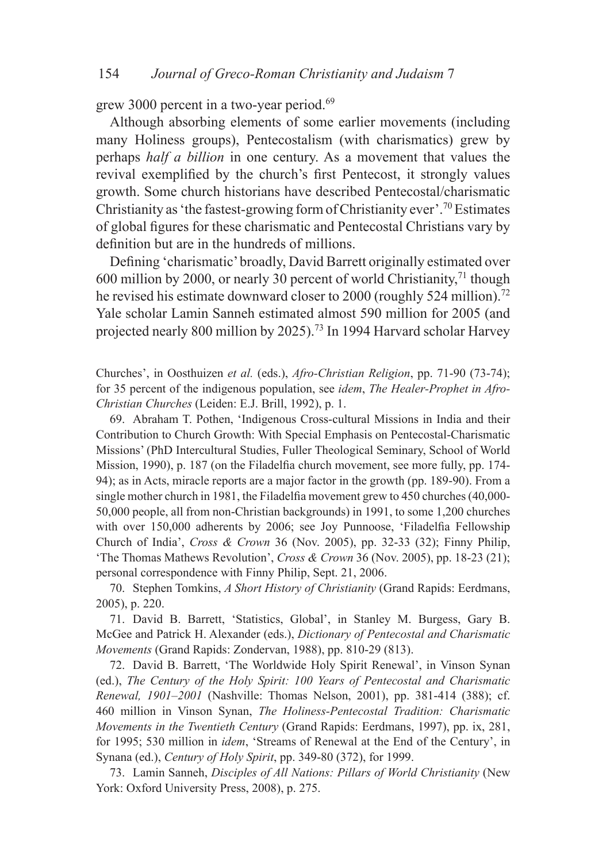grew 3000 percent in a two-year period.<sup>69</sup>

Although absorbing elements of some earlier movements (including many Holiness groups), Pentecostalism (with charismatics) grew by perhaps *half a billion* in one century. As a movement that values the revival exemplified by the church's first Pentecost, it strongly values growth. Some church historians have described Pentecostal/charismatic Christianity as 'the fastest-growing form of Christianity ever'.70 Estimates of global figures for these charismatic and Pentecostal Christians vary by definition but are in the hundreds of millions.

Defining 'charismatic' broadly, David Barrett originally estimated over 600 million by 2000, or nearly 30 percent of world Christianity,<sup>71</sup> though he revised his estimate downward closer to 2000 (roughly 524 million).<sup>72</sup> Yale scholar Lamin Sanneh estimated almost 590 million for 2005 (and projected nearly 800 million by 2025).73 In 1994 Harvard scholar Harvey

Churches', in Oosthuizen *et al.* (eds.), *Afro-Christian Religion*, pp. 71-90 (73-74); for 35 percent of the indigenous population, see *idem*, *The Healer-Prophet in Afro-Christian Churches* (Leiden: E.J. Brill, 1992), p. 1.

69. Abraham T. Pothen, 'Indigenous Cross-cultural Missions in India and their Contribution to Church Growth: With Special Emphasis on Pentecostal-Charismatic Missions' (PhD Intercultural Studies, Fuller Theological Seminary, School of World Mission, 1990), p. 187 (on the Filadelfia church movement, see more fully, pp. 174- 94); as in Acts, miracle reports are a major factor in the growth (pp. 189-90). From a single mother church in 1981, the Filadelfia movement grew to 450 churches (40,000- 50,000 people, all from non-Christian backgrounds) in 1991, to some 1,200 churches with over 150,000 adherents by 2006; see Joy Punnoose, 'Filadelfia Fellowship Church of India', *Cross & Crown* 36 (Nov. 2005), pp. 32-33 (32); Finny Philip, 'The Thomas Mathews Revolution', *Cross & Crown* 36 (Nov. 2005), pp. 18-23 (21); personal correspondence with Finny Philip, Sept. 21, 2006.

70. Stephen Tomkins, *A Short History of Christianity* (Grand Rapids: Eerdmans, 2005), p. 220.

71. David B. Barrett, 'Statistics, Global', in Stanley M. Burgess, Gary B. McGee and Patrick H. Alexander (eds.), *Dictionary of Pentecostal and Charismatic Movements* (Grand Rapids: Zondervan, 1988), pp. 810-29 (813).

72. David B. Barrett, 'The Worldwide Holy Spirit Renewal', in Vinson Synan (ed.), *The Century of the Holy Spirit: 100 Years of Pentecostal and Charismatic Renewal, 1901–2001* (Nashville: Thomas Nelson, 2001), pp. 381-414 (388); cf. 460 million in Vinson Synan, *The Holiness-Pentecostal Tradition: Charismatic Movements in the Twentieth Century* (Grand Rapids: Eerdmans, 1997), pp. ix, 281, for 1995; 530 million in *idem*, 'Streams of Renewal at the End of the Century', in Synana (ed.), *Century of Holy Spirit*, pp. 349-80 (372), for 1999.

73. Lamin Sanneh, *Disciples of All Nations: Pillars of World Christianity* (New York: Oxford University Press, 2008), p. 275.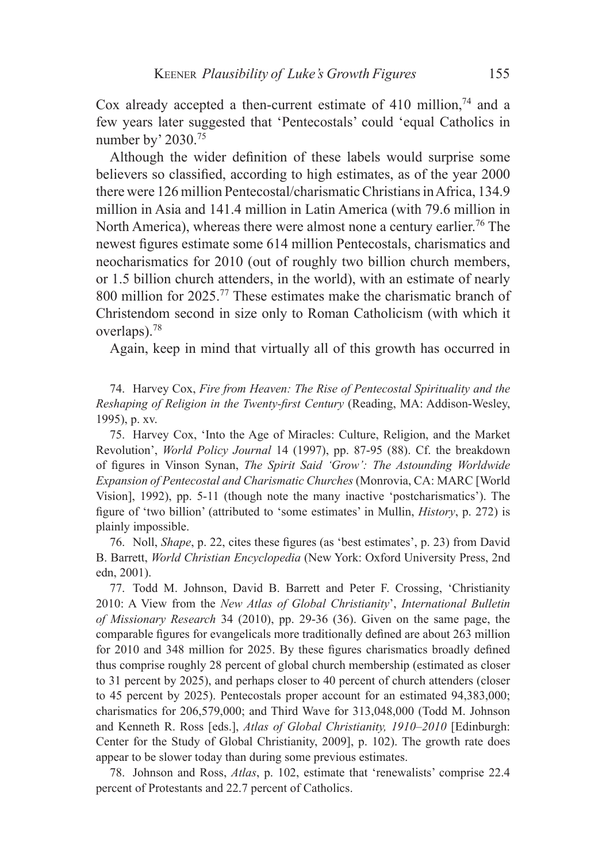Cox already accepted a then-current estimate of 410 million, $74$  and a few years later suggested that 'Pentecostals' could 'equal Catholics in number by' 2030.<sup>75</sup>

Although the wider definition of these labels would surprise some believers so classified, according to high estimates, as of the year 2000 there were 126 million Pentecostal/charismatic Christians in Africa, 134.9 million in Asia and 141.4 million in Latin America (with 79.6 million in North America), whereas there were almost none a century earlier.<sup>76</sup> The newest figures estimate some 614 million Pentecostals, charismatics and neocharismatics for 2010 (out of roughly two billion church members, or 1.5 billion church attenders, in the world), with an estimate of nearly 800 million for 2025.77 These estimates make the charismatic branch of Christendom second in size only to Roman Catholicism (with which it overlaps).78

Again, keep in mind that virtually all of this growth has occurred in

74. Harvey Cox, *Fire from Heaven: The Rise of Pentecostal Spirituality and the Reshaping of Religion in the Twenty-first Century* (Reading, MA: Addison-Wesley, 1995), p. xv.

75. Harvey Cox, 'Into the Age of Miracles: Culture, Religion, and the Market Revolution', *World Policy Journal* 14 (1997), pp. 87-95 (88). Cf. the breakdown of figures in Vinson Synan, *The Spirit Said 'Grow': The Astounding Worldwide Expansion of Pentecostal and Charismatic Churches* (Monrovia, CA: MARC [World Vision], 1992), pp. 5-11 (though note the many inactive 'postcharismatics'). The figure of 'two billion' (attributed to 'some estimates' in Mullin, *History*, p. 272) is plainly impossible.

76. Noll, *Shape*, p. 22, cites these figures (as 'best estimates', p. 23) from David B. Barrett, *World Christian Encyclopedia* (New York: Oxford University Press, 2nd edn, 2001).

77. Todd M. Johnson, David B. Barrett and Peter F. Crossing, 'Christianity 2010: A View from the *New Atlas of Global Christianity*', *International Bulletin of Missionary Research* 34 (2010), pp. 29-36 (36). Given on the same page, the comparable figures for evangelicals more traditionally defined are about 263 million for 2010 and 348 million for 2025. By these figures charismatics broadly defined thus comprise roughly 28 percent of global church membership (estimated as closer to 31 percent by 2025), and perhaps closer to 40 percent of church attenders (closer to 45 percent by 2025). Pentecostals proper account for an estimated 94,383,000; charismatics for 206,579,000; and Third Wave for 313,048,000 (Todd M. Johnson and Kenneth R. Ross [eds.], *Atlas of Global Christianity, 1910–2010* [Edinburgh: Center for the Study of Global Christianity, 2009], p. 102). The growth rate does appear to be slower today than during some previous estimates.

78. Johnson and Ross, *Atlas*, p. 102, estimate that 'renewalists' comprise 22.4 percent of Protestants and 22.7 percent of Catholics.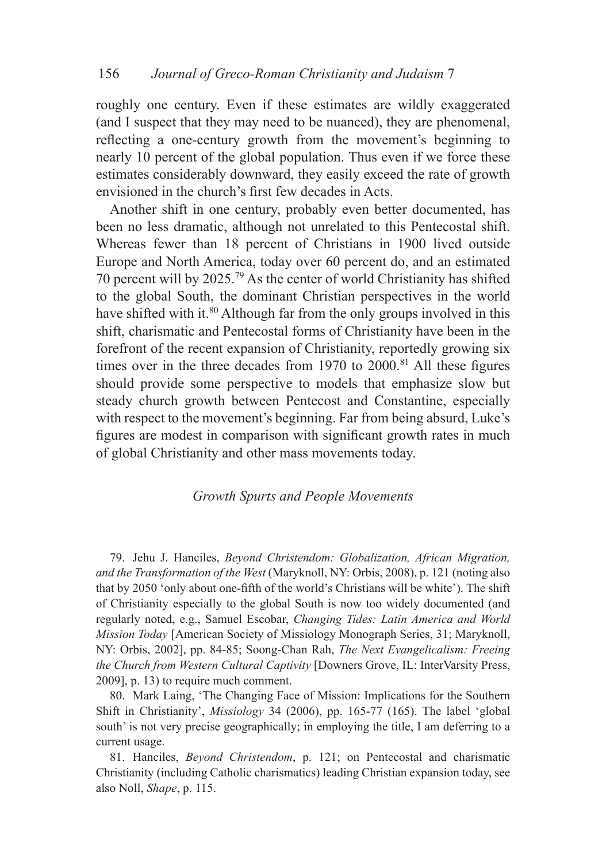roughly one century. Even if these estimates are wildly exaggerated (and I suspect that they may need to be nuanced), they are phenomenal, reflecting a one-century growth from the movement's beginning to nearly 10 percent of the global population. Thus even if we force these estimates considerably downward, they easily exceed the rate of growth envisioned in the church's first few decades in Acts.

Another shift in one century, probably even better documented, has been no less dramatic, although not unrelated to this Pentecostal shift. Whereas fewer than 18 percent of Christians in 1900 lived outside Europe and North America, today over 60 percent do, and an estimated 70 percent will by 2025.79 As the center of world Christianity has shifted to the global South, the dominant Christian perspectives in the world have shifted with it.<sup>80</sup> Although far from the only groups involved in this shift, charismatic and Pentecostal forms of Christianity have been in the forefront of the recent expansion of Christianity, reportedly growing six times over in the three decades from  $1970$  to  $2000$ .<sup>81</sup> All these figures should provide some perspective to models that emphasize slow but steady church growth between Pentecost and Constantine, especially with respect to the movement's beginning. Far from being absurd, Luke's figures are modest in comparison with significant growth rates in much of global Christianity and other mass movements today.

#### *Growth Spurts and People Movements*

79. Jehu J. Hanciles, *Beyond Christendom: Globalization, African Migration, and the Transformation of the West* (Maryknoll, NY: Orbis, 2008), p. 121 (noting also that by 2050 'only about one-fifth of the world's Christians will be white'). The shift of Christianity especially to the global South is now too widely documented (and regularly noted, e.g., Samuel Escobar, *Changing Tides: Latin America and World Mission Today* [American Society of Missiology Monograph Series, 31; Maryknoll, NY: Orbis, 2002], pp. 84-85; Soong-Chan Rah, *The Next Evangelicalism: Freeing the Church from Western Cultural Captivity* [Downers Grove, IL: InterVarsity Press, 2009], p. 13) to require much comment.

80. Mark Laing, 'The Changing Face of Mission: Implications for the Southern Shift in Christianity', *Missiology* 34 (2006), pp. 165-77 (165). The label 'global south' is not very precise geographically; in employing the title, I am deferring to a current usage.

81. Hanciles, *Beyond Christendom*, p. 121; on Pentecostal and charismatic Christianity (including Catholic charismatics) leading Christian expansion today, see also Noll, *Shape*, p. 115.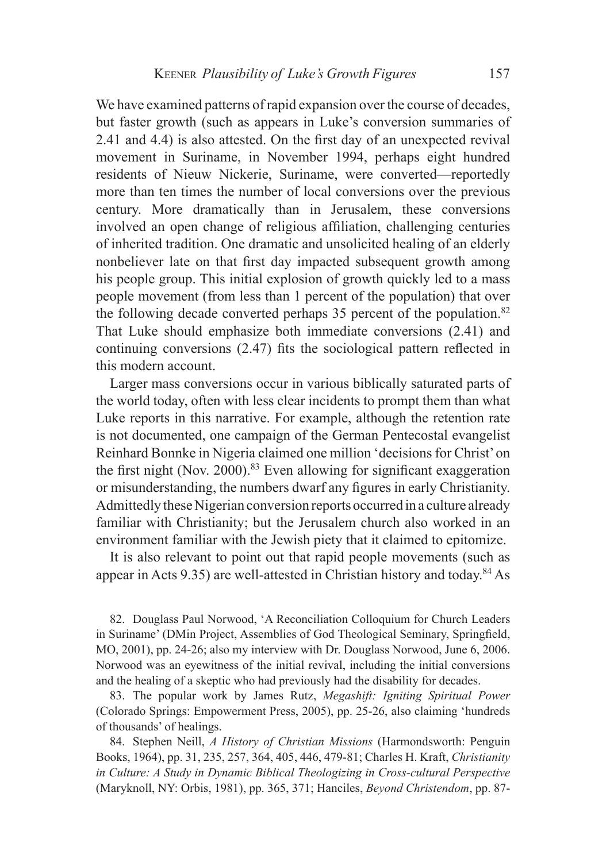We have examined patterns of rapid expansion over the course of decades, but faster growth (such as appears in Luke's conversion summaries of 2.41 and 4.4) is also attested. On the first day of an unexpected revival movement in Suriname, in November 1994, perhaps eight hundred residents of Nieuw Nickerie, Suriname, were converted—reportedly more than ten times the number of local conversions over the previous century. More dramatically than in Jerusalem, these conversions involved an open change of religious affiliation, challenging centuries of inherited tradition. One dramatic and unsolicited healing of an elderly nonbeliever late on that first day impacted subsequent growth among his people group. This initial explosion of growth quickly led to a mass people movement (from less than 1 percent of the population) that over the following decade converted perhaps 35 percent of the population.<sup>82</sup> That Luke should emphasize both immediate conversions (2.41) and continuing conversions (2.47) fits the sociological pattern reflected in this modern account.

Larger mass conversions occur in various biblically saturated parts of the world today, often with less clear incidents to prompt them than what Luke reports in this narrative. For example, although the retention rate is not documented, one campaign of the German Pentecostal evangelist Reinhard Bonnke in Nigeria claimed one million 'decisions for Christ' on the first night (Nov. 2000).<sup>83</sup> Even allowing for significant exaggeration or misunderstanding, the numbers dwarf any figures in early Christianity. Admittedly these Nigerian conversion reports occurred in a culture already familiar with Christianity; but the Jerusalem church also worked in an environment familiar with the Jewish piety that it claimed to epitomize.

It is also relevant to point out that rapid people movements (such as appear in Acts 9.35) are well-attested in Christian history and today.<sup>84</sup> As

82. Douglass Paul Norwood, 'A Reconciliation Colloquium for Church Leaders in Suriname' (DMin Project, Assemblies of God Theological Seminary, Springfield, MO, 2001), pp. 24-26; also my interview with Dr. Douglass Norwood, June 6, 2006. Norwood was an eyewitness of the initial revival, including the initial conversions and the healing of a skeptic who had previously had the disability for decades.

83. The popular work by James Rutz, *Megashift: Igniting Spiritual Power* (Colorado Springs: Empowerment Press, 2005), pp. 25-26, also claiming 'hundreds of thousands' of healings.

84. Stephen Neill, *A History of Christian Missions* (Harmondsworth: Penguin Books, 1964), pp. 31, 235, 257, 364, 405, 446, 479-81; Charles H. Kraft, *Christianity in Culture: A Study in Dynamic Biblical Theologizing in Cross-cultural Perspective* (Maryknoll, NY: Orbis, 1981), pp. 365, 371; Hanciles, *Beyond Christendom*, pp. 87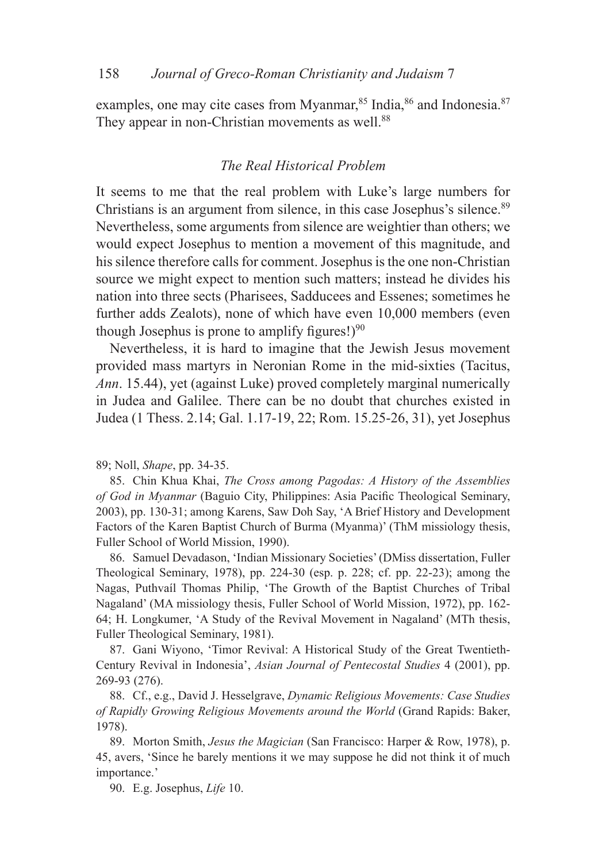examples, one may cite cases from Myanmar,<sup>85</sup> India,<sup>86</sup> and Indonesia.<sup>87</sup> They appear in non-Christian movements as well.<sup>88</sup>

## *The Real Historical Problem*

It seems to me that the real problem with Luke's large numbers for Christians is an argument from silence, in this case Josephus's silence.<sup>89</sup> Nevertheless, some arguments from silence are weightier than others; we would expect Josephus to mention a movement of this magnitude, and his silence therefore calls for comment. Josephus is the one non-Christian source we might expect to mention such matters; instead he divides his nation into three sects (Pharisees, Sadducees and Essenes; sometimes he further adds Zealots), none of which have even 10,000 members (even though Josephus is prone to amplify figures! $9^{90}$ 

Nevertheless, it is hard to imagine that the Jewish Jesus movement provided mass martyrs in Neronian Rome in the mid-sixties (Tacitus, *Ann*. 15.44), yet (against Luke) proved completely marginal numerically in Judea and Galilee. There can be no doubt that churches existed in Judea (1 Thess. 2.14; Gal. 1.17-19, 22; Rom. 15.25-26, 31), yet Josephus

89; Noll, *Shape*, pp. 34-35.

85. Chin Khua Khai, *The Cross among Pagodas: A History of the Assemblies of God in Myanmar* (Baguio City, Philippines: Asia Pacific Theological Seminary, 2003), pp. 130-31; among Karens, Saw Doh Say, 'A Brief History and Development Factors of the Karen Baptist Church of Burma (Myanma)' (ThM missiology thesis, Fuller School of World Mission, 1990).

86. Samuel Devadason, 'Indian Missionary Societies' (DMiss dissertation, Fuller Theological Seminary, 1978), pp. 224-30 (esp. p. 228; cf. pp. 22-23); among the Nagas, Puthvaíl Thomas Philip, 'The Growth of the Baptist Churches of Tribal Nagaland' (MA missiology thesis, Fuller School of World Mission, 1972), pp. 162- 64; H. Longkumer, 'A Study of the Revival Movement in Nagaland' (MTh thesis, Fuller Theological Seminary, 1981).

87. Gani Wiyono, 'Timor Revival: A Historical Study of the Great Twentieth-Century Revival in Indonesia', *Asian Journal of Pentecostal Studies* 4 (2001), pp. 269-93 (276).

88. Cf., e.g., David J. Hesselgrave, *Dynamic Religious Movements: Case Studies of Rapidly Growing Religious Movements around the World* (Grand Rapids: Baker, 1978).

89. Morton Smith, *Jesus the Magician* (San Francisco: Harper & Row, 1978), p. 45, avers, 'Since he barely mentions it we may suppose he did not think it of much importance.'

90. E.g. Josephus, *Life* 10.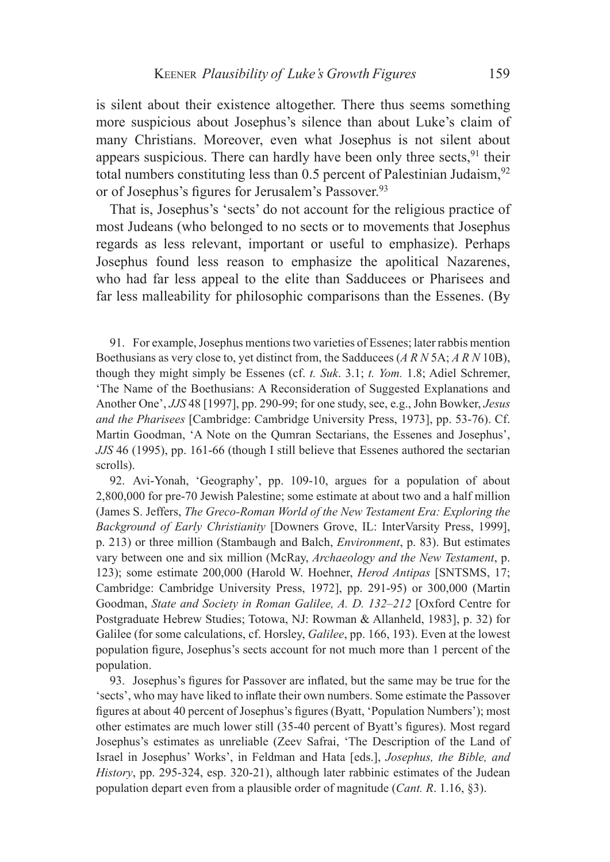is silent about their existence altogether. There thus seems something more suspicious about Josephus's silence than about Luke's claim of many Christians. Moreover, even what Josephus is not silent about appears suspicious. There can hardly have been only three sects,  $91$  their total numbers constituting less than  $0.5$  percent of Palestinian Judaism,  $92$ or of Josephus's figures for Jerusalem's Passover.<sup>93</sup>

That is, Josephus's 'sects' do not account for the religious practice of most Judeans (who belonged to no sects or to movements that Josephus regards as less relevant, important or useful to emphasize). Perhaps Josephus found less reason to emphasize the apolitical Nazarenes, who had far less appeal to the elite than Sadducees or Pharisees and far less malleability for philosophic comparisons than the Essenes. (By

91. For example, Josephus mentions two varieties of Essenes; later rabbis mention Boethusians as very close to, yet distinct from, the Sadducees (*A R N* 5A; *A R N* 10B), though they might simply be Essenes (cf. *t. Suk*. 3.1; *t. Yom.* 1.8; Adiel Schremer, 'The Name of the Boethusians: A Reconsideration of Suggested Explanations and Another One', *JJS* 48 [1997], pp. 290-99; for one study, see, e.g., John Bowker, *Jesus and the Pharisees* [Cambridge: Cambridge University Press, 1973], pp. 53-76). Cf. Martin Goodman, 'A Note on the Qumran Sectarians, the Essenes and Josephus', *JJS* 46 (1995), pp. 161-66 (though I still believe that Essenes authored the sectarian scrolls).

92. Avi-Yonah, 'Geography', pp. 109-10, argues for a population of about 2,800,000 for pre-70 Jewish Palestine; some estimate at about two and a half million (James S. Jeffers, *The Greco-Roman World of the New Testament Era: Exploring the Background of Early Christianity* [Downers Grove, IL: InterVarsity Press, 1999], p. 213) or three million (Stambaugh and Balch, *Environment*, p. 83). But estimates vary between one and six million (McRay, *Archaeology and the New Testament*, p. 123); some estimate 200,000 (Harold W. Hoehner, *Herod Antipas* [SNTSMS, 17; Cambridge: Cambridge University Press, 1972], pp. 291-95) or 300,000 (Martin Goodman, *State and Society in Roman Galilee, A. D. 132–212* [Oxford Centre for Postgraduate Hebrew Studies; Totowa, NJ: Rowman & Allanheld, 1983], p. 32) for Galilee (for some calculations, cf. Horsley, *Galilee*, pp. 166, 193). Even at the lowest population figure, Josephus's sects account for not much more than 1 percent of the population.

93. Josephus's figures for Passover are inflated, but the same may be true for the 'sects', who may have liked to inflate their own numbers. Some estimate the Passover figures at about 40 percent of Josephus's figures (Byatt, 'Population Numbers'); most other estimates are much lower still (35-40 percent of Byatt's figures). Most regard Josephus's estimates as unreliable (Zeev Safrai, 'The Description of the Land of Israel in Josephus' Works', in Feldman and Hata [eds.], *Josephus, the Bible, and History*, pp. 295-324, esp. 320-21), although later rabbinic estimates of the Judean population depart even from a plausible order of magnitude (*Cant. R*. 1.16, §3).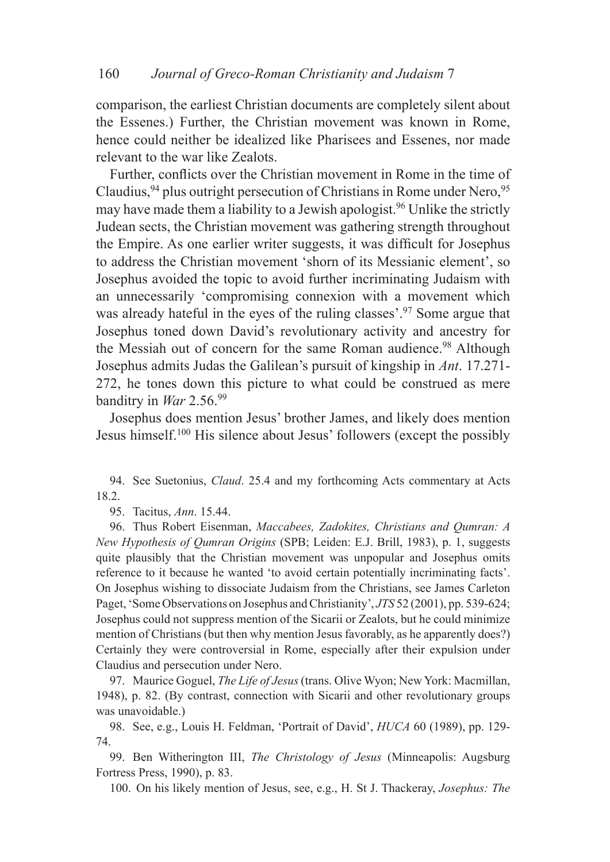comparison, the earliest Christian documents are completely silent about the Essenes.) Further, the Christian movement was known in Rome, hence could neither be idealized like Pharisees and Essenes, nor made relevant to the war like Zealots.

Further, conflicts over the Christian movement in Rome in the time of Claudius,  $94$  plus outright persecution of Christians in Rome under Nero,  $95$ may have made them a liability to a Jewish apologist.<sup>96</sup> Unlike the strictly Judean sects, the Christian movement was gathering strength throughout the Empire. As one earlier writer suggests, it was difficult for Josephus to address the Christian movement 'shorn of its Messianic element', so Josephus avoided the topic to avoid further incriminating Judaism with an unnecessarily 'compromising connexion with a movement which was already hateful in the eyes of the ruling classes'.<sup>97</sup> Some argue that Josephus toned down David's revolutionary activity and ancestry for the Messiah out of concern for the same Roman audience.<sup>98</sup> Although Josephus admits Judas the Galilean's pursuit of kingship in *Ant*. 17.271- 272, he tones down this picture to what could be construed as mere banditry in *War* 2.56.99

Josephus does mention Jesus' brother James, and likely does mention Jesus himself.100 His silence about Jesus' followers (except the possibly

94. See Suetonius, *Claud*. 25.4 and my forthcoming Acts commentary at Acts 18.2.

95. Tacitus, *Ann*. 15.44.

96. Thus Robert Eisenman, *Maccabees, Zadokites, Christians and Qumran: A New Hypothesis of Qumran Origins* (SPB; Leiden: E.J. Brill, 1983), p. 1, suggests quite plausibly that the Christian movement was unpopular and Josephus omits reference to it because he wanted 'to avoid certain potentially incriminating facts'. On Josephus wishing to dissociate Judaism from the Christians, see James Carleton Paget, 'Some Observations on Josephus and Christianity', *JTS* 52 (2001), pp. 539-624; Josephus could not suppress mention of the Sicarii or Zealots, but he could minimize mention of Christians (but then why mention Jesus favorably, as he apparently does?) Certainly they were controversial in Rome, especially after their expulsion under Claudius and persecution under Nero.

97. Maurice Goguel, *The Life of Jesus* (trans. Olive Wyon; New York: Macmillan, 1948), p. 82. (By contrast, connection with Sicarii and other revolutionary groups was unavoidable.)

98. See, e.g., Louis H. Feldman, 'Portrait of David', *HUCA* 60 (1989), pp. 129- 74.

99. Ben Witherington III, *The Christology of Jesus* (Minneapolis: Augsburg Fortress Press, 1990), p. 83.

100. On his likely mention of Jesus, see, e.g., H. St J. Thackeray, *Josephus: The*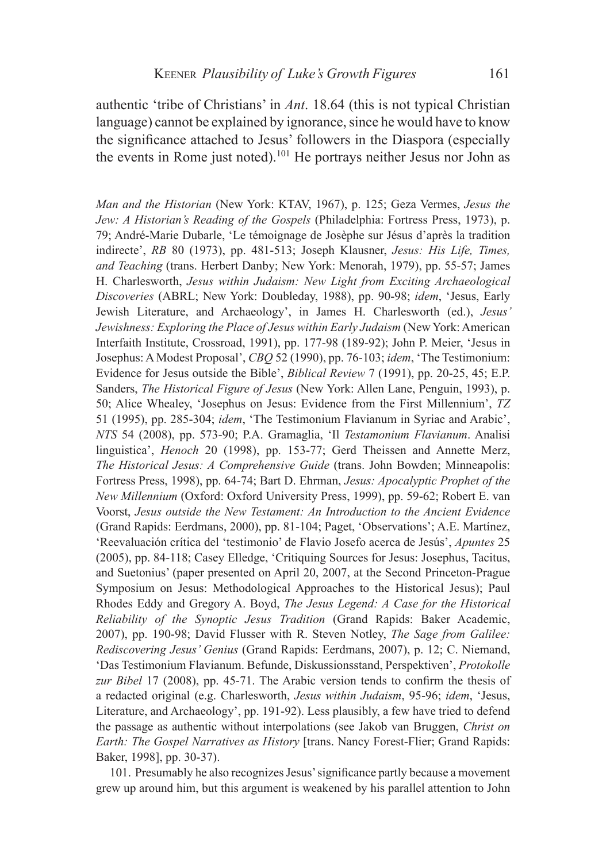authentic 'tribe of Christians' in *Ant*. 18.64 (this is not typical Christian language) cannot be explained by ignorance, since he would have to know the significance attached to Jesus' followers in the Diaspora (especially the events in Rome just noted).101 He portrays neither Jesus nor John as

*Man and the Historian* (New York: KTAV, 1967), p. 125; Geza Vermes, *Jesus the Jew: A Historian's Reading of the Gospels* (Philadelphia: Fortress Press, 1973), p. 79; André-Marie Dubarle, 'Le témoignage de Josèphe sur Jésus d'après la tradition indirecte', *RB* 80 (1973), pp. 481-513; Joseph Klausner, *Jesus: His Life, Times, and Teaching* (trans. Herbert Danby; New York: Menorah, 1979), pp. 55-57; James H. Charlesworth, *Jesus within Judaism: New Light from Exciting Archaeological Discoveries* (ABRL; New York: Doubleday, 1988), pp. 90-98; *idem*, 'Jesus, Early Jewish Literature, and Archaeology', in James H. Charlesworth (ed.), *Jesus' Jewishness: Exploring the Place of Jesus within Early Judaism* (New York: American Interfaith Institute, Crossroad, 1991), pp. 177-98 (189-92); John P. Meier, 'Jesus in Josephus: A Modest Proposal', *CBQ* 52 (1990), pp. 76-103; *idem*, 'The Testimonium: Evidence for Jesus outside the Bible', *Biblical Review* 7 (1991), pp. 20-25, 45; E.P. Sanders, *The Historical Figure of Jesus* (New York: Allen Lane, Penguin, 1993), p. 50; Alice Whealey, 'Josephus on Jesus: Evidence from the First Millennium', *TZ* 51 (1995), pp. 285-304; *idem*, 'The Testimonium Flavianum in Syriac and Arabic', *NTS* 54 (2008), pp. 573-90; P.A. Gramaglia, 'Il *Testamonium Flavianum*. Analisi linguistica', *Henoch* 20 (1998), pp. 153-77; Gerd Theissen and Annette Merz, *The Historical Jesus: A Comprehensive Guide* (trans. John Bowden; Minneapolis: Fortress Press, 1998), pp. 64-74; Bart D. Ehrman, *Jesus: Apocalyptic Prophet of the New Millennium* (Oxford: Oxford University Press, 1999), pp. 59-62; Robert E. van Voorst, *Jesus outside the New Testament: An Introduction to the Ancient Evidence* (Grand Rapids: Eerdmans, 2000), pp. 81-104; Paget, 'Observations'; A.E. Martínez, 'Reevaluación crítica del 'testimonio' de Flavio Josefo acerca de Jesús', *Apuntes* 25 (2005), pp. 84-118; Casey Elledge, 'Critiquing Sources for Jesus: Josephus, Tacitus, and Suetonius' (paper presented on April 20, 2007, at the Second Princeton-Prague Symposium on Jesus: Methodological Approaches to the Historical Jesus); Paul Rhodes Eddy and Gregory A. Boyd, *The Jesus Legend: A Case for the Historical Reliability of the Synoptic Jesus Tradition* (Grand Rapids: Baker Academic, 2007), pp. 190-98; David Flusser with R. Steven Notley, *The Sage from Galilee: Rediscovering Jesus' Genius* (Grand Rapids: Eerdmans, 2007), p. 12; C. Niemand, 'Das Testimonium Flavianum. Befunde, Diskussionsstand, Perspektiven', *Protokolle zur Bibel* 17 (2008), pp. 45-71. The Arabic version tends to confirm the thesis of a redacted original (e.g. Charlesworth, *Jesus within Judaism*, 95-96; *idem*, 'Jesus, Literature, and Archaeology', pp. 191-92). Less plausibly, a few have tried to defend the passage as authentic without interpolations (see Jakob van Bruggen, *Christ on Earth: The Gospel Narratives as History* [trans. Nancy Forest-Flier; Grand Rapids: Baker, 1998], pp. 30-37).

101. Presumably he also recognizes Jesus' significance partly because a movement grew up around him, but this argument is weakened by his parallel attention to John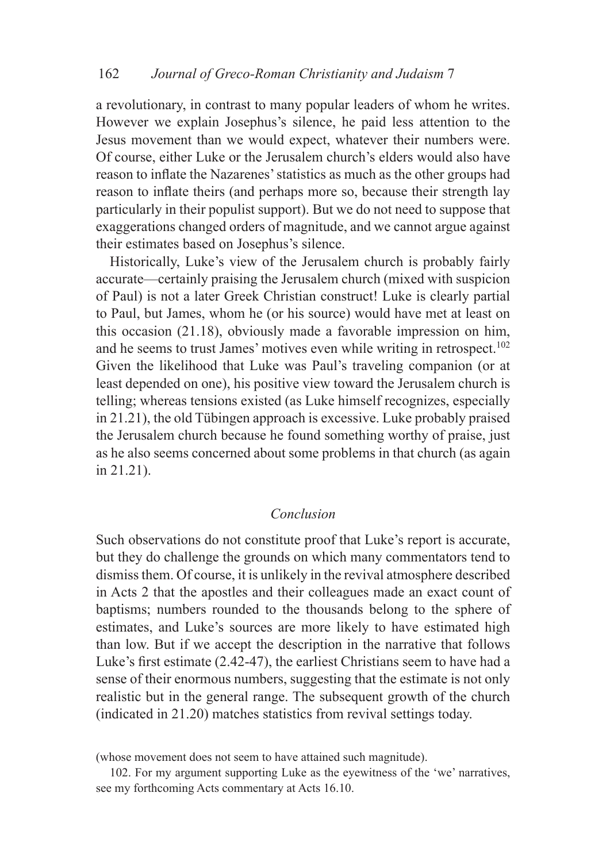a revolutionary, in contrast to many popular leaders of whom he writes. However we explain Josephus's silence, he paid less attention to the Jesus movement than we would expect, whatever their numbers were. Of course, either Luke or the Jerusalem church's elders would also have reason to inflate the Nazarenes' statistics as much as the other groups had reason to inflate theirs (and perhaps more so, because their strength lay particularly in their populist support). But we do not need to suppose that exaggerations changed orders of magnitude, and we cannot argue against their estimates based on Josephus's silence.

Historically, Luke's view of the Jerusalem church is probably fairly accurate—certainly praising the Jerusalem church (mixed with suspicion of Paul) is not a later Greek Christian construct! Luke is clearly partial to Paul, but James, whom he (or his source) would have met at least on this occasion (21.18), obviously made a favorable impression on him, and he seems to trust James' motives even while writing in retrospect.<sup>102</sup> Given the likelihood that Luke was Paul's traveling companion (or at least depended on one), his positive view toward the Jerusalem church is telling; whereas tensions existed (as Luke himself recognizes, especially in 21.21), the old Tübingen approach is excessive. Luke probably praised the Jerusalem church because he found something worthy of praise, just as he also seems concerned about some problems in that church (as again in 21.21).

## *Conclusion*

Such observations do not constitute proof that Luke's report is accurate, but they do challenge the grounds on which many commentators tend to dismiss them. Of course, it is unlikely in the revival atmosphere described in Acts 2 that the apostles and their colleagues made an exact count of baptisms; numbers rounded to the thousands belong to the sphere of estimates, and Luke's sources are more likely to have estimated high than low. But if we accept the description in the narrative that follows Luke's first estimate (2.42-47), the earliest Christians seem to have had a sense of their enormous numbers, suggesting that the estimate is not only realistic but in the general range. The subsequent growth of the church (indicated in 21.20) matches statistics from revival settings today.

<sup>(</sup>whose movement does not seem to have attained such magnitude).

<sup>102.</sup> For my argument supporting Luke as the eyewitness of the 'we' narratives, see my forthcoming Acts commentary at Acts 16.10.